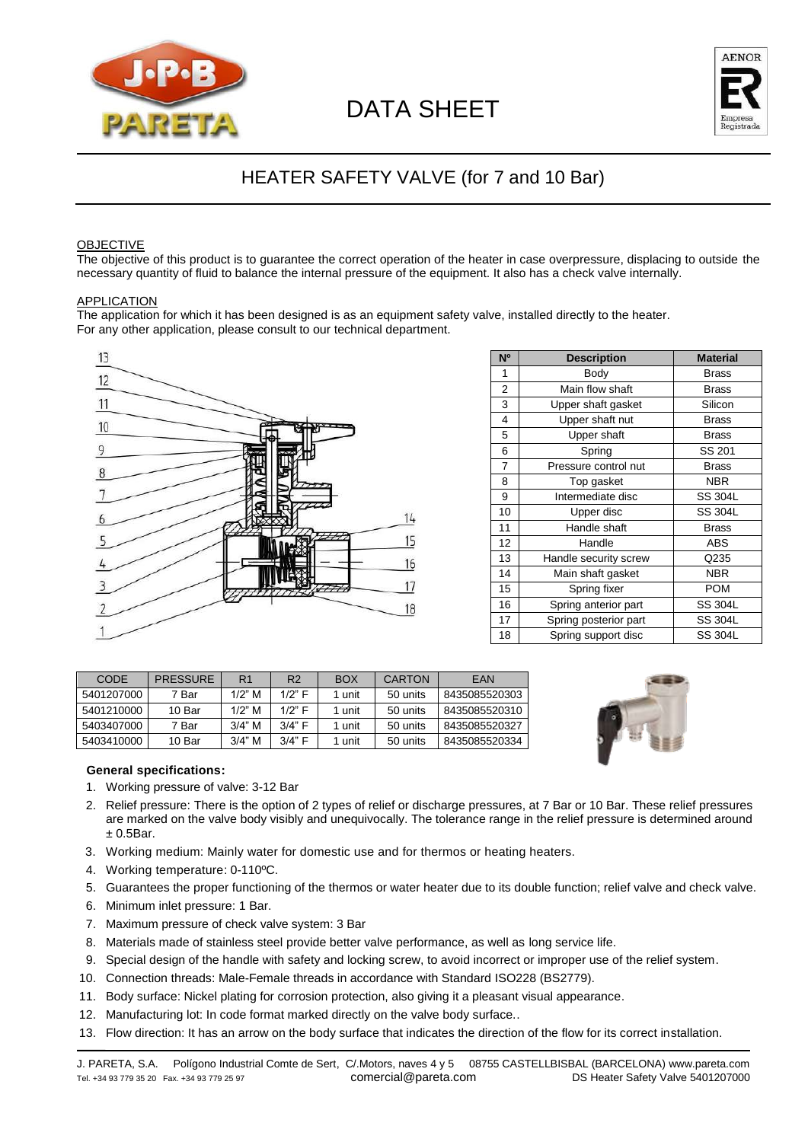



### HEATER SAFETY VALVE (for 7 and 10 Bar)

### OBJECTIVE

The objective of this product is to guarantee the correct operation of the heater in case overpressure, displacing to outside the necessary quantity of fluid to balance the internal pressure of the equipment. It also has a check valve internally.

### APPLICATION

The application for which it has been designed is as an equipment safety valve, installed directly to the heater. For any other application, please consult to our technical department.



| N <sup>o</sup> | <b>Description</b>    | <b>Material</b> |  |  |
|----------------|-----------------------|-----------------|--|--|
| 1              | Body                  | Brass           |  |  |
| 2              | Main flow shaft       | <b>Brass</b>    |  |  |
| 3              | Upper shaft gasket    | Silicon         |  |  |
| 4              | Upper shaft nut       | <b>Brass</b>    |  |  |
| 5              | Upper shaft           | Brass           |  |  |
| 6              | Spring                | SS 201          |  |  |
| 7              | Pressure control nut  | <b>Brass</b>    |  |  |
| 8              | Top gasket            | <b>NBR</b>      |  |  |
| 9              | Intermediate disc     | <b>SS 304L</b>  |  |  |
| 10             | Upper disc            | SS 304L         |  |  |
| 11             | Handle shaft          | <b>Brass</b>    |  |  |
| 12             | Handle                | <b>ABS</b>      |  |  |
| 13             | Handle security screw | Q235            |  |  |
| 14             | Main shaft gasket     | <b>NBR</b>      |  |  |
| 15             | Spring fixer          | <b>POM</b>      |  |  |
| 16             | Spring anterior part  | SS 304L         |  |  |
| 17             | Spring posterior part | SS 304L         |  |  |
| 18             | Spring support disc   | SS 304L         |  |  |

| CODE       | <b>PRESSURE</b> | R <sub>1</sub> | R <sub>2</sub> | <b>BOX</b> | CARTON   | <b>FAN</b>    |
|------------|-----------------|----------------|----------------|------------|----------|---------------|
| 5401207000 | 7 Bar           | $1/2"$ M       | 1/2" F         | 1 unit     | 50 units | 8435085520303 |
| 5401210000 | 10 Bar          | $1/2"$ M       | 1/2" F         | 1 unit     | 50 units | 8435085520310 |
| 5403407000 | 7 Bar           | $3/4"$ M       | 3/4" F         | 1 unit     | 50 units | 8435085520327 |
| 5403410000 | 10 Bar          | 3/4" M         | 3/4"F          | 1 unit     | 50 units | 8435085520334 |



### **General specifications:**

- 1. Working pressure of valve: 3-12 Bar
- 2. Relief pressure: There is the option of 2 types of relief or discharge pressures, at 7 Bar or 10 Bar. These relief pressures are marked on the valve body visibly and unequivocally. The tolerance range in the relief pressure is determined around  $± 0.5$ Bar.
- 3. Working medium: Mainly water for domestic use and for thermos or heating heaters.
- 4. Working temperature: 0-110ºC.
- 5. Guarantees the proper functioning of the thermos or water heater due to its double function; relief valve and check valve.
- 6. Minimum inlet pressure: 1 Bar.
- 7. Maximum pressure of check valve system: 3 Bar
- 8. Materials made of stainless steel provide better valve performance, as well as long service life.
- 9. Special design of the handle with safety and locking screw, to avoid incorrect or improper use of the relief system.
- 10. Connection threads: Male-Female threads in accordance with Standard ISO228 (BS2779).
- 11. Body surface: Nickel plating for corrosion protection, also giving it a pleasant visual appearance.
- 12. Manufacturing lot: In code format marked directly on the valve body surface..
- 13. Flow direction: It has an arrow on the body surface that indicates the direction of the flow for its correct installation.